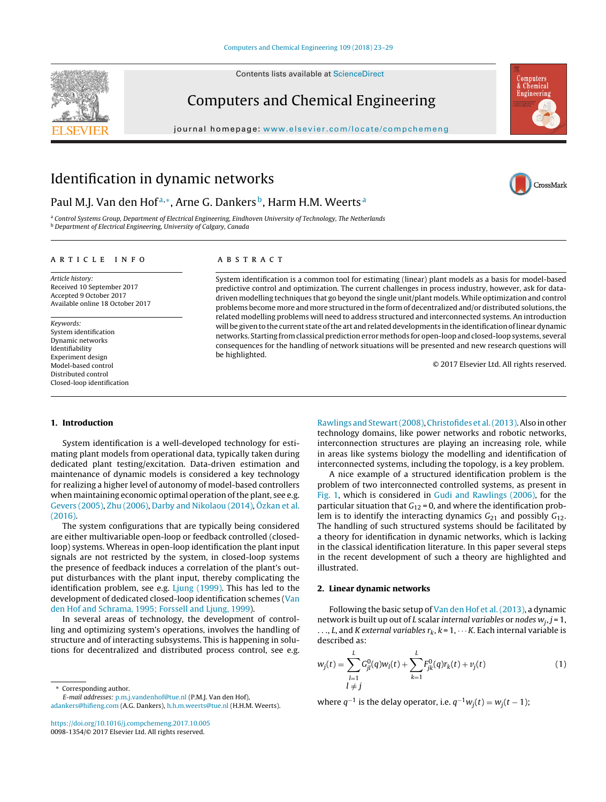Contents lists available at [ScienceDirect](http://www.sciencedirect.com/science/journal/00981354)

# Computers and Chemical Engineering

iournal homepage: [www.elsevier.com/locate/compchemeng](http://www.elsevier.com/locate/compchemeng)



# Identification in dynamic networks

# Paul M.J. Van den Hof<sup>a,∗</sup>, Arne G. Dankers<sup>b</sup>, Harm H.M. Weerts<sup>a</sup>

<sup>a</sup> Control Systems Group, Department of Electrical Engineering, Eindhoven University of Technology, The Netherlands **b** Department of Electrical Engineering, University of Calgary, Canada

# a r t i c l e i n f o

Article history: Received 10 September 2017 Accepted 9 October 2017 Available online 18 October 2017

# Keywords:

System identification Dynamic networks Identifiability Experiment design Model-based control Distributed control Closed-loop identification

# A B S T R A C T

System identification is a common tool for estimating (linear) plant models as a basis for model-based predictive control and optimization. The current challenges in process industry, however, ask for datadriven modelling techniques that go beyond the single unit/plant models.While optimization and control problems become more and more structured in the form of decentralized and/or distributed solutions,the related modelling problems will need to address structured and interconnected systems. An introduction will be given to the current state of the art and related developments in the identification of linear dynamic networks. Starting fromclassical predictionerrormethods for open-loop and closed-loop systems, several consequences for the handling of network situations will be presented and new research questions will be highlighted.

© 2017 Elsevier Ltd. All rights reserved.

#### **1. Introduction**

System identification is a well-developed technology for estimating plant models from operational data, typically taken during dedicated plant testing/excitation. Data-driven estimation and maintenance of dynamic models is considered a key technology for realizing a higher level of autonomy of model-based controllers when maintaining economic optimal operation of the plant, see e.g. [Gevers](#page-6-0) [\(2005\),](#page-6-0) [Zhu](#page-6-0) [\(2006\),](#page-6-0) [Darby](#page-6-0) [and](#page-6-0) [Nikolaou](#page-6-0) [\(2014\),](#page-6-0) [Özkan](#page-6-0) et [al.](#page-6-0) [\(2016\).](#page-6-0)

The system configurations that are typically being considered are either multivariable open-loop or feedback controlled (closedloop) systems. Whereas in open-loop identification the plant input signals are not restricted by the system, in closed-loop systems the presence of feedback induces a correlation of the plant's output disturbances with the plant input, thereby complicating the identification problem, see e.g. [Ljung](#page-6-0) [\(1999\).](#page-6-0) This has led to the development of dedicated closed-loop identification schemes [\(Van](#page-6-0) [den](#page-6-0) [Hof](#page-6-0) [and](#page-6-0) [Schrama,](#page-6-0) [1995;](#page-6-0) [Forssell](#page-6-0) [and](#page-6-0) [Ljung,](#page-6-0) [1999\).](#page-6-0)

In several areas of technology, the development of controlling and optimizing system's operations, involves the handling of structure and of interacting subsystems. This is happening in solutions for decentralized and distributed process control, see e.g.

Corresponding author.

E-mail addresses: [p.m.j.vandenhof@tue.nl](mailto:p.m.j.vandenhof@tue.nl) (P.M.J. Van den Hof), [adankers@hifieng.com](mailto:adankers@hifieng.com) (A.G. Dankers), [h.h.m.weerts@tue.nl](mailto:h.h.m.weerts@tue.nl) (H.H.M. Weerts).

<https://doi.org/10.1016/j.compchemeng.2017.10.005> 0098-1354/© 2017 Elsevier Ltd. All rights reserved.

[Rawlings](#page-6-0) and Stewart (2008), Christofides et al. (2013). Also in other technology domains, like power networks and robotic networks, interconnection structures are playing an increasing role, while in areas like systems biology the modelling and identification of interconnected systems, including the topology, is a key problem.

A nice example of a structured identification problem is the problem of two interconnected controlled systems, as present in [Fig.](#page-1-0) 1, which is considered in [Gudi](#page-6-0) [and](#page-6-0) [Rawlings](#page-6-0) [\(2006\),](#page-6-0) for the particular situation that  $G_{12} = 0$ , and where the identification problem is to identify the interacting dynamics  $G_{21}$  and possibly  $G_{12}$ . The handling of such structured systems should be facilitated by a theory for identification in dynamic networks, which is lacking in the classical identification literature. In this paper several steps in the recent development of such a theory are highlighted and illustrated.

# **2. Linear dynamic networks**

Following the basic setup of [Van](#page-6-0) [den](#page-6-0) [Hof](#page-6-0) et [al.\(2013\),](#page-6-0) a dynamic network is built up out of L scalar internal variables or nodes  $w_i$ ,  $j = 1$ , ..., L, and K external variables  $r_k$ ,  $k = 1, \cdots K$ . Each internal variable is described as:

$$
w_j(t) = \sum_{\substack{l=1\\l \neq j}}^{L} G_{jl}^0(q) w_l(t) + \sum_{k=1}^{L} F_{jk}^0(q) r_k(t) + v_j(t)
$$
 (1)

where  $q^{-1}$  is the delay operator, i.e.  $q^{-1}w_i(t) = w_i(t-1)$ ;

<span id="page-0-0"></span>

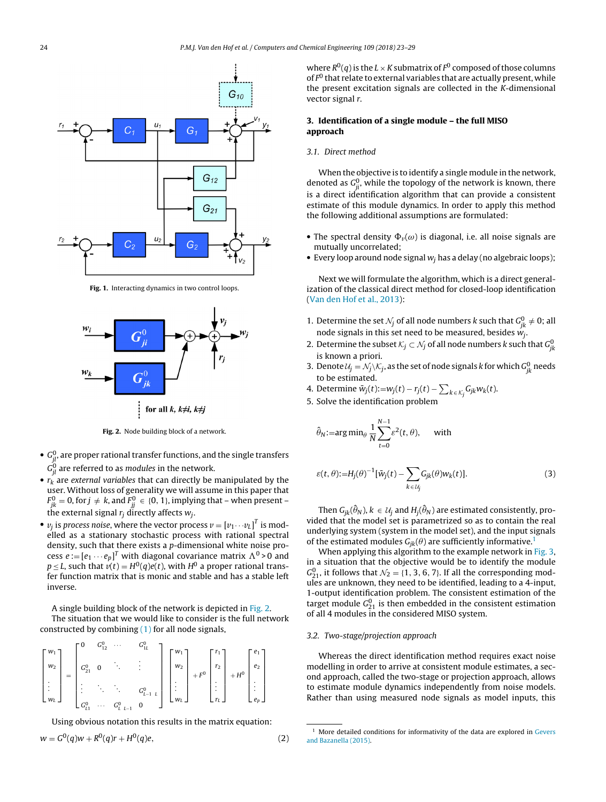<span id="page-1-0"></span>

**Fig. 1.** Interacting dynamics in two control loops.



**Fig. 2.** Node building block of a network.

- $\bullet \, \, G_{jl}^0$  are proper rational transfer functions, and the single transfers  $G_{jl}^0$  are referred to as *modules* in the network.
- $r_k$  are external variables that can directly be manipulated by the user. Without loss of generality we will assume in this paper that  $F^0_{jk} = 0$ , for  $j\, \neq\, k$ , and  $F^0_{jj} \, \in\, \{0,\, 1\},$  implying that – when present – the external signal  $r_i$  directly affects  $w_i$ .
- $\bullet$   $v_j$  is process noise, where the vector process  $v = \left[ v_1 \cdots v_L \right]^T$  is modelled as a stationary stochastic process with rational spectral density, such that there exists a p-dimensional white noise process  $e\!:=\![e_1\cdots e_p]^T$  with diagonal covariance matrix  $\Lambda^0\!>\!0$  and  $p \leq L$ , such that  $v(t) = H^0(q)e(t)$ , with  $H^0$  a proper rational transfer function matrix that is monic and stable and has a stable left inverse.

A single building block of the network is depicted in Fig. 2.

The situation that we would like to consider is the full network constructed by combining  $(1)$  for all node signals,

$$
\begin{bmatrix} w_1 \\ w_2 \\ \vdots \\ w_l \end{bmatrix} = \begin{bmatrix} 0 & G_{12}^0 & \cdots & G_{1l}^0 \\ G_{21}^0 & 0 & \ddots & \vdots \\ \vdots & \ddots & \ddots & G_{l-1}^0 & 0 \\ G_{11}^0 & \cdots & G_{l-1}^0 & 0 \end{bmatrix} \begin{bmatrix} w_1 \\ w_2 \\ \vdots \\ w_l \end{bmatrix} + F^0 \begin{bmatrix} r_1 \\ r_2 \\ \vdots \\ r_l \end{bmatrix} + H^0 \begin{bmatrix} e_1 \\ e_2 \\ \vdots \\ e_p \end{bmatrix}
$$

Using obvious notation this results in the matrix equation:

$$
w = G^{0}(q)w + R^{0}(q)r + H^{0}(q)e,
$$
\n(2)

where  $R^0(q)$  is the  $L \times K$  submatrix of  $F^0$  composed of those columns of  $F^0$  that relate to external variables that are actually present, while the present excitation signals are collected in the K-dimensional vector signal r.

# **3. Identification of a single module – the full MISO approach**

# 3.1. Direct method

When the objective is to identify a single module in the network, denoted as  $G_{ji}^0$ , while the topology of the network is known, there is a direct identification algorithm that can provide a consistent estimate of this module dynamics. In order to apply this method the following additional assumptions are formulated:

- The spectral density  $\Phi_{\nu}(\omega)$  is diagonal, i.e. all noise signals are mutually uncorrelated;
- Every loop around node signal  $w_i$  has a delay (no algebraic loops);

Next we will formulate the algorithm, which is a direct generalization of the classical direct method for closed-loop identification [\(Van](#page-6-0) [den](#page-6-0) [Hof](#page-6-0) et [al.,](#page-6-0) [2013\):](#page-6-0)

- 1. Determine the set  $\mathcal{N}_j$  of all node numbers k such that  $G_{jk}^0 \neq 0$ ; all node signals in this set need to be measured, besides  $w_j$ .
- 2. Determine the subset  $\mathcal{K}_j\subset \mathcal{N}_j$  of all node numbers  $k$  such that  $G^0_{jk}$ is known a priori.
- 3. Denote  $\mathcal{U}_j = \mathcal{N}_j \backslash \mathcal{K}_j$ , as the set of node signals  $k$  for which  $G^0_{jk}$  needs to be estimated.
- 4. Determine  $\bar{w}_j(t)$ := $w_j(t)$   $r_j(t)$   $\sum_{k \, \in \, \mathcal{K}_j} G_{jk} w_k(t)$ .
- 5. Solve the identification problem

$$
\hat{\theta}_N
$$
:=arg min <sub>$\theta$</sub>   $\frac{1}{N} \sum_{t=0}^{N-1} \varepsilon^2(t, \theta)$ , with

$$
\varepsilon(t,\theta) := H_j(\theta)^{-1} [\bar{w}_j(t) - \sum_{k \in \mathcal{U}_j} G_{jk}(\theta) w_k(t)].
$$
\n(3)

Then  $G_{jk}(\widehat{\theta}_N)$ ,  $k\, \in\, \mathcal{U}_j$  and  $H_j(\widehat{\theta}_N)$  are estimated consistently, provided that the model set is parametrized so as to contain the real underlying system (system in the model set), and the input signals of the estimated modules  $G_{ik}(\theta)$  are sufficiently informative.<sup>1</sup>

When applying this algorithm to the example network in [Fig.](#page-2-0) 3, in a situation that the objective would be to identify the module  $G_{21}^0$ , it follows that  $\mathcal{N}_2 = \{1, 3, 6, 7\}$ . If all the corresponding modules are unknown, they need to be identified, leading to a 4-input, 1-output identification problem. The consistent estimation of the target module  $G_{21}^0$  is then embedded in the consistent estimation of all 4 modules in the considered MISO system.

# 3.2. Two-stage/projection approach

Whereas the direct identification method requires exact noise modelling in order to arrive at consistent module estimates, a second approach, called the two-stage or projection approach, allows to estimate module dynamics independently from noise models. Rather than using measured node signals as model inputs, this

 $1$  More detailed conditions for informativity of the data are explored in [Gevers](#page-6-0) [and](#page-6-0) [Bazanella](#page-6-0) [\(2015\).](#page-6-0)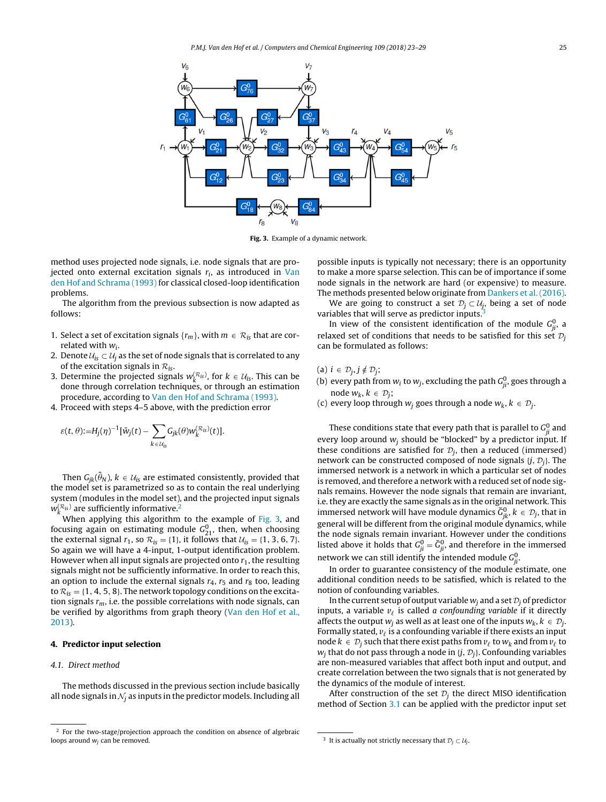<span id="page-2-0"></span>

**Fig. 3.** Example of a dynamic network.

method uses projected node signals, i.e. node signals that are projected onto external excitation signals  $r_i$ , as introduced in [Van](#page-6-0) [den](#page-6-0) [Hof](#page-6-0) [and](#page-6-0) [Schrama](#page-6-0) [\(1993\)](#page-6-0) for classical closed-loop identification problems.

The algorithm from the previous subsection is now adapted as follows:

- 1. Select a set of excitation signals  $\{r_m\}$ , with  $m \in \mathcal{R}_{is}$  that are correlated with  $w_i$ .
- 2. Denote  $U_{iS} \subset U_i$  as the set of node signals that is correlated to any of the excitation signals in  $\mathcal{R}_{is}$ .
- 3. Determine the projected signals  $w_k^{(R_{is})}$ , for  $k \in \mathcal{U}_{is}$ . This can be done through correlation techniques, or through an estimation procedure, according to [Van](#page-6-0) [den](#page-6-0) [Hof](#page-6-0) [and](#page-6-0) [Schrama](#page-6-0) [\(1993\).](#page-6-0)
- 4. Proceed with steps 4–5 above, with the prediction error

$$
\varepsilon(t,\theta) := H_j(\eta)^{-1} [\bar{w}_j(t) - \sum_{k \in \mathcal{U}_{is}} G_{jk}(\theta) w_k^{(\mathcal{R}_{is})}(t)].
$$

Then  $G_{jk}(\widehat{\theta}_N)$ ,  $k\,\in\,\mathcal{U}_{is}$  are estimated consistently, provided that the model set is parametrized so as to contain the real underlying system (modules in the model set), and the projected input signals  $w_{k}^{(\mathcal{R}_{i})}$  are sufficiently informative.<sup>2</sup>

When applying this algorithm to the example of Fig. 3, and focusing again on estimating module  $G_{21}^0$ , then, when choosing the external signal  $r_1$ , so  $\mathcal{R}_{is} = \{1\}$ , it follows that  $\mathcal{U}_{is} = \{1, 3, 6, 7\}$ . So again we will have a 4-input, 1-output identification problem. However when all input signals are projected onto  $r_1$ , the resulting signals might not be sufficiently informative. In order to reach this, an option to include the external signals  $r_4$ ,  $r_5$  and  $r_8$  too, leading to  $\mathcal{R}_{is} = \{1, 4, 5, 8\}$ . The network topology conditions on the excitation signals  $r_m$ , i.e. the possible correlations with node signals, can be verified by algorithms from graph theory [\(Van](#page-6-0) [den](#page-6-0) [Hof](#page-6-0) et [al.,](#page-6-0) [2013\).](#page-6-0)

#### **4. Predictor input selection**

# 4.1. Direct method

The methods discussed in the previous section include basically all node signals in  $N_i$  as inputs in the predictor models. Including all possible inputs is typically not necessary; there is an opportunity to make a more sparse selection. This can be of importance if some node signals in the network are hard (or expensive) to measure. The methods presented below originate from [Dankers](#page-6-0) et [al.](#page-6-0) [\(2016\).](#page-6-0)

We are going to construct a set  $\mathcal{D}_i \subset \mathcal{U}_i$ , being a set of node variables that will serve as predictor inputs.<sup>3</sup>

In view of the consistent identification of the module  $G_{ji}^0$ , a relaxed set of conditions that needs to be satisfied for this set  $\mathcal{D}_i$ can be formulated as follows:

- (a)  $i \in \mathcal{D}_j, j \notin \mathcal{D}_j;$
- (b) every path from  $w_i$  to  $w_j$ , excluding the path  $G_{ji}^0$ , goes through a node  $w_k$ ,  $k \in \mathcal{D}_i$ ;
- (c) every loop through  $w_j$  goes through a node  $w_k$ ,  $k \in \mathcal{D}_j$ .

These conditions state that every path that is parallel to  $G_{ji}^0$  and every loop around  $w_i$  should be "blocked" by a predictor input. If these conditions are satisfied for  $\mathcal{D}_i$ , then a reduced (immersed) network can be constructed composed of node signals  $\{j, \mathcal{D}_i\}$ . The immersed network is a network in which a particular set of nodes is removed, and therefore a network with a reduced set of node signals remains. However the node signals that remain are invariant, i.e.they are exactly the same signals as in the original network. This immersed network will have module dynamics  $\check{G}^0_{jk}$ ,  $k \in \mathcal{D}_j$ , that in general will be different from the original module dynamics, while the node signals remain invariant. However under the conditions listed above it holds that  $G_{ji}^0 = \check{G}_{ji}^0$ , and therefore in the immersed network we can still identify the intended module  $G_{ji}^0$ .

In order to guarantee consistency of the module estimate, one additional condition needs to be satisfied, which is related to the notion of confounding variables.

In the current setup of output variable  $w_i$  and a set  $\mathcal{D}_i$  of predictor inputs, a variable  $v_{\ell}$  is called a confounding variable if it directly affects the output  $w_i$  as well as at least one of the inputs  $w_k$ ,  $k \in \mathcal{D}_i$ . Formally stated,  $v_{\ell}$  is a confounding variable if there exists an input node  $k \in \mathcal{D}_i$  such that there exist paths from  $v_\ell$  to  $w_k$  and from  $v_\ell$  to  $w_i$  that do not pass through a node in  $\{j, \mathcal{D}_i\}$ . Confounding variables are non-measured variables that affect both input and output, and create correlation between the two signals that is not generated by the dynamics of the module of interest.

After construction of the set  $\mathcal{D}_i$  the direct MISO identification method of Section [3.1](#page-1-0) can be applied with the predictor input set

<sup>2</sup> For the two-stage/projection approach the condition on absence of algebraic loops around  $w_i$  can be removed.

<sup>&</sup>lt;sup>3</sup> It is actually not strictly necessary that  $\mathcal{D}_j \subset \mathcal{U}_j$ .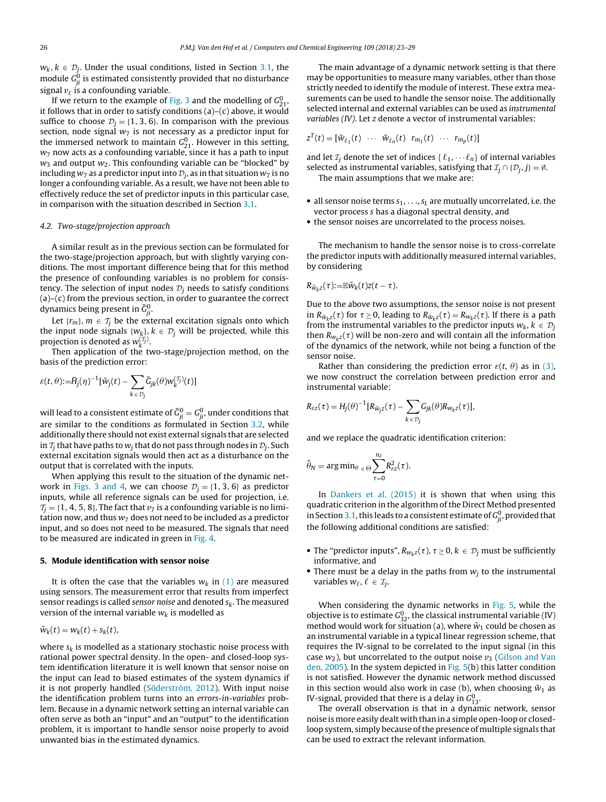$w_k$ ,  $k \in \mathcal{D}_i$ . Under the usual conditions, listed in Section [3.1,](#page-1-0) the module  $G_{ji}^0$  is estimated consistently provided that no disturbance signal  $v_\ell$  is a confounding variable.

If we return to the example of [Fig.](#page-2-0) 3 and the modelling of  $G_{21}^0$ , it follows that in order to satisfy conditions  $(a)-(c)$  above, it would suffice to choose  $\mathcal{D}_i = \{1, 3, 6\}$ . In comparison with the previous section, node signal  $w_7$  is not necessary as a predictor input for the immersed network to maintain  $G_{21}^0$ . However in this setting,  $w_7$  now acts as a confounding variable, since it has a path to input  $w_3$  and output  $w_2$ . This confounding variable can be "blocked" by including  $w_7$  as a predictor input into  $\mathcal{D}_i$ , as in that situation  $w_7$  is no longer a confounding variable. As a result, we have not been able to effectively reduce the set of predictor inputs in this particular case, in comparison with the situation described in Section [3.1.](#page-1-0)

## 4.2. Two-stage/projection approach

A similar result as in the previous section can be formulated for the two-stage/projection approach, but with slightly varying conditions. The most important difference being that for this method the presence of confounding variables is no problem for consistency. The selection of input nodes  $\mathcal{D}_i$  needs to satisfy conditions (a)–(c) from the previous section, in order to guarantee the correct dynamics being present in  $\breve{\mathsf{G}}^0_{ji}.$ 

Let  $\{r_m\}$ ,  $m \in \mathcal{T}_i$  be the external excitation signals onto which the input node signals { $w_k$ },  $k \in \mathcal{D}_j$  will be projected, while this projection is denoted as  $w_k^{(\mathcal{I}_j)}$ .

Then application of the two-stage/projection method, on the basis of the prediction error:

$$
\varepsilon(t,\theta){:=}\check{H}_{j}(\eta)^{-1}[\check{w}_{j}(t)-\sum_{k\,\in\,\mathcal{D}_{j}}\check{G}_{jk}(\theta)w_{k}^{(\mathcal{I}_{j})}(t)]
$$

will lead to a consistent estimate of  $\breve G_{ji}^0 = G_{ji}^0,$  under conditions that are similar to the conditions as formulated in Section [3.2,](#page-1-0) while additionally there should not exist external signals that are selected in  $T_i$  that have paths to  $w_i$  that do not pass through nodes in  $\mathcal{D}_i$ . Such external excitation signals would then act as a disturbance on the output that is correlated with the inputs.

When applying this result to the situation of the dynamic net-work in [Figs.](#page-2-0) 3 and 4, we can choose  $\mathcal{D}_i = \{1, 3, 6\}$  as predictor inputs, while all reference signals can be used for projection, i.e.  $T<sub>i</sub> = \{1, 4, 5, 8\}$ . The fact that  $\nu$ <sub>7</sub> is a confounding variable is no limitation now, and thus  $w_7$  does not need to be included as a predictor input, and so does not need to be measured. The signals that need to be measured are indicated in green in [Fig.](#page-4-0) 4.

#### **5. Module identification with sensor noise**

It is often the case that the variables  $w_k$  in [\(1\)](#page-0-0) are measured using sensors. The measurement error that results from imperfect sensor readings is called sensor noise and denoted  $s_k$ . The measured version of the internal variable  $w_k$  is modelled as

 $\tilde{w}_k(t) = w_k(t) + s_k(t),$ 

where  $s_k$  is modelled as a stationary stochastic noise process with rational power spectral density. In the open- and closed-loop system identification literature it is well known that sensor noise on the input can lead to biased estimates of the system dynamics if it is not properly handled ([Söderström,](#page-6-0) [2012\).](#page-6-0) With input noise the identification problem turns into an errors-in-variables problem. Because in a dynamic network setting an internal variable can often serve as both an "input" and an "output" to the identification problem, it is important to handle sensor noise properly to avoid unwanted bias in the estimated dynamics.

The main advantage of a dynamic network setting is that there may be opportunities to measure many variables, other than those strictly needed to identify the module of interest. These extra measurements can be used to handle the sensor noise. The additionally selected internal and external variables can be used as instrumental variables (IV). Let *z* denote a vector of instrumental variables:

$$
z^{T}(t) = [\tilde{w}_{\ell_1}(t) \cdots \tilde{w}_{\ell_n}(t) \ r_{m_1}(t) \ \cdots \ r_{m_p}(t)]
$$

and let  $\mathcal{I}_i$  denote the set of indices  $\{\ell_1, \dots \ell_n\}$  of internal variables selected as instrumental variables, satisfying that  $\mathcal{I}_i \cap \{ \mathcal{D}_i, j \} = \emptyset$ . The main assumptions that we make are:

- all sensor noise terms  $s_1, \ldots, s_L$  are mutually uncorrelated, i.e. the vector process s has a diagonal spectral density, and
- the sensor noises are uncorrelated to the process noises.

The mechanism to handle the sensor noise is to cross-correlate the predictor inputs with additionally measured internal variables, by considering

$$
R_{\tilde{w}_k z}(\tau) := \mathbb{E} \tilde{w}_k(t) z(t-\tau).
$$

Due to the above two assumptions, the sensor noise is not present in  $R_{\tilde{w}_k z}(\tau)$  for  $\tau \geq 0$ , leading to  $R_{\tilde{w}_k z}(\tau) = R_{w_k z}(\tau)$ . If there is a path from the instrumental variables to the predictor inputs  $w_k$ ,  $k \in \mathcal{D}_j$ then  $R_{w_kz}(\tau)$  will be non-zero and will contain all the information of the dynamics of the network, while not being a function of the sensor noise.

Rather than considering the prediction error  $\varepsilon(t, \theta)$  as in [\(3\),](#page-1-0) we now construct the correlation between prediction error and instrumental variable:

$$
R_{\varepsilon z}(\tau) = H_j(\theta)^{-1} [R_{\bar{w}_j z}(\tau) - \sum_{k \in \mathcal{D}_j} G_{jk}(\theta) R_{w_k z}(\tau)],
$$

and we replace the quadratic identification criterion:

$$
\hat{\theta}_N = \arg\min_{\theta \in \Theta} \sum_{\tau=0}^{n_z} R_{\epsilon z}^2(\tau).
$$

In [Dankers](#page-6-0) et [al.](#page-6-0) [\(2015\)](#page-6-0) it is shown that when using this quadratic criterion in the algorithm of the Direct Method presented in Section 3.1, this leads to a consistent estimate of  $G_{ji}^0$ , provided that the following additional conditions are satisfied:

- The "predictor inputs",  $R_{W_kZ}(\tau)$ ,  $\tau \geq 0$ ,  $k \in \mathcal{D}_j$  must be sufficiently informative, and
- There must be a delay in the paths from  $w_i$  to the instrumental variables  $w_{\ell}, \ell \in \mathcal{I}_i$ .

When considering the dynamic networks in [Fig.](#page-4-0) 5, while the objective is to estimate  $G_{32}^0$ , the classical instrumental variable (IV) method would work for situation (a), where  $\tilde{w}_1$  could be chosen as an instrumental variable in a typical linear regression scheme, that requires the IV-signal to be correlated to the input signal (in this case  $w_2$ ), but uncorrelated to the output noise  $v_3$  ([Gilson](#page-6-0) [and](#page-6-0) [Van](#page-6-0) [den,](#page-6-0) [2005\).](#page-6-0) In the system depicted in [Fig.](#page-4-0) 5(b) this latter condition is not satisfied. However the dynamic network method discussed in this section would also work in case (b), when choosing  $\tilde{w}_1$  as IV-signal, provided that there is a delay in  $G^0_{13}$ .

The overall observation is that in a dynamic network, sensor noise is more easily dealt with than in a simple open-loop or closedloop system, simply because of the presence of multiple signals that can be used to extract the relevant information.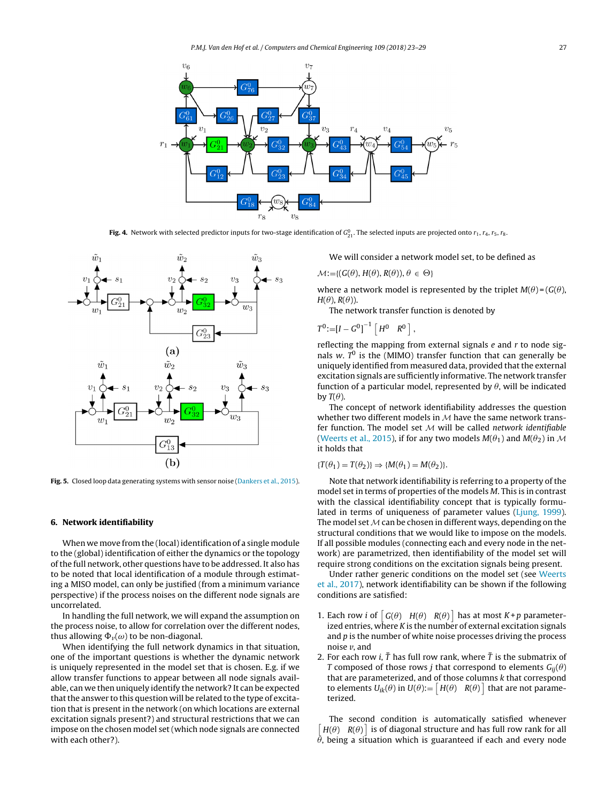<span id="page-4-0"></span>

**Fig. 4.** Network with selected predictor inputs for two-stage identification of  $G^0_{21}$ . The selected inputs are projected onto  $r_1$ ,  $r_4$ ,  $r_5$ ,  $r_8$ .



Fig. 5. Closed loop data generating systems with sensor noise ([Dankers](#page-6-0) et [al.,](#page-6-0) [2015\).](#page-6-0)

# **6. Network identifiability**

When we move from the (local) identification of a single module to the (global) identification of either the dynamics or the topology ofthe full network, other questions have to be addressed. It also has to be noted that local identification of a module through estimating a MISO model, can only be justified (from a minimum variance perspective) if the process noises on the different node signals are uncorrelated.

In handling the full network, we will expand the assumption on the process noise, to allow for correlation over the different nodes, thus allowing  $\Phi_{\nu}(\omega)$  to be non-diagonal.

When identifying the full network dynamics in that situation, one of the important questions is whether the dynamic network is uniquely represented in the model set that is chosen. E.g. if we allow transfer functions to appear between all node signals available, can we then uniquely identify the network? It can be expected that the answer to this question will be related to the type of excitation that is present in the network (on which locations are external excitation signals present?) and structural restrictions that we can impose on the chosen model set (which node signals are connected with each other?).

We will consider a network model set, to be defined as

 $\mathcal{M} := \{ (G(\theta), H(\theta), R(\theta)), \theta \in \Theta \}$ 

where a network model is represented by the triplet  $M(\theta) = (G(\theta),$  $H(\theta)$ ,  $R(\theta)$ ).

The network transfer function is denoted by

$$
T^0 := [I - G^0]^{-1} [H^0 \ R^0],
$$

reflecting the mapping from external signals  $e$  and  $r$  to node signals w.  $T^0$  is the (MIMO) transfer function that can generally be uniquely identified from measured data, provided that the external excitation signals are sufficiently informative. The network transfer function of a particular model, represented by  $\theta$ , will be indicated by  $T(\theta)$ .

The concept of network identifiability addresses the question whether two different models in  $M$  have the same network transfer function. The model set  $M$  will be called network identifiable [\(Weerts](#page-6-0) et [al.,](#page-6-0) [2015\),](#page-6-0) if for any two models  $M(\theta_1)$  and  $M(\theta_2)$  in M it holds that

 $\{T(\theta_1) = T(\theta_2)\} \Rightarrow \{M(\theta_1) = M(\theta_2)\}.$ 

Note that network identifiability is referring to a property of the model set in terms of properties of the models M. This is in contrast with the classical identifiability concept that is typically formulated in terms of uniqueness of parameter values [\(Ljung,](#page-6-0) [1999\).](#page-6-0) The model set  $M$  can be chosen in different ways, depending on the structural conditions that we would like to impose on the models. If all possible modules (connecting each and every node in the network) are parametrized, then identifiability of the model set will require strong conditions on the excitation signals being present.

Under rather generic conditions on the model set (see [Weerts](#page-6-0) et [al.,](#page-6-0) [2017\),](#page-6-0) network identifiability can be shown if the following conditions are satisfied:

- 1. Each row *i* of  $\begin{bmatrix} G(\theta) & H(\theta) & R(\theta) \end{bmatrix}$  has at most  $K+p$  parameterized entries, where  $K$  is the number of external excitation signals and  $p$  is the number of white noise processes driving the process noise *v*, and
- 2. For each row *i*,  $\tilde{T}$  has full row rank, where  $\tilde{T}$  is the submatrix of T composed of those rows *j* that correspond to elements  $G_{ii}(\theta)$ that are parameterized, and of those columns k that correspond to elements  $U_{ik}(\theta)$  in  $U(\theta) := \begin{bmatrix} H(\theta) & R(\theta) \end{bmatrix}$  that are not parameterized.

The second condition is automatically satisfied whenever  $[H(\theta) \ R(\theta)]$  is of diagonal structure and has full row rank for all  $\theta$ , being a situation which is guaranteed if each and every node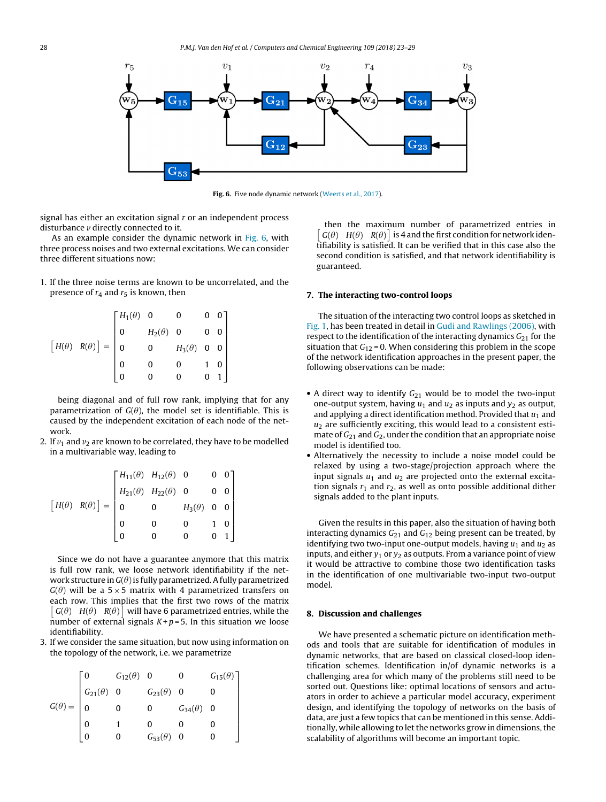![](_page_5_Figure_1.jpeg)

**Fig. 6.** Five node dynamic network [\(Weerts](#page-6-0) et [al.,](#page-6-0) [2017\).](#page-6-0)

signal has either an excitation signal  $r$  or an independent process disturbance *v* directly connected to it.

As an example consider the dynamic network in Fig. 6, with three process noises and two external excitations. We can consider three different situations now:

1. If the three noise terms are known to be uncorrelated, and the presence of  $r_4$  and  $r_5$  is known, then

$$
\begin{bmatrix} H(\theta) & R(\theta) \end{bmatrix} = \begin{bmatrix} H_1(\theta) & 0 & 0 & 0 & 0 \\ 0 & H_2(\theta) & 0 & 0 & 0 \\ 0 & 0 & H_3(\theta) & 0 & 0 \\ 0 & 0 & 0 & 1 & 0 \\ 0 & 0 & 0 & 0 & 1 \end{bmatrix}
$$

being diagonal and of full row rank, implying that for any parametrization of  $G(\theta)$ , the model set is identifiable. This is caused by the independent excitation of each node of the network.

2. If  $v_1$  and  $v_2$  are known to be correlated, they have to be modelled in a multivariable way, leading to

$$
\begin{bmatrix} H(\theta) & R(\theta) \end{bmatrix} = \begin{bmatrix} H_{11}(\theta) & H_{12}(\theta) & 0 & 0 & 0 \\ H_{21}(\theta) & H_{22}(\theta) & 0 & 0 & 0 \\ 0 & 0 & H_{3}(\theta) & 0 & 0 \\ 0 & 0 & 0 & 1 & 0 \\ 0 & 0 & 0 & 0 & 1 \end{bmatrix}
$$

Since we do not have a guarantee anymore that this matrix is full row rank, we loose network identifiability if the network structure in  $G(\theta)$  is fully parametrized. A fully parametrized  $G(\theta)$  will be a 5 × 5 matrix with 4 parametrized transfers on each row. This implies that the first two rows of the matrix  $\begin{bmatrix} G(\theta) & H(\theta) & R(\theta) \end{bmatrix}$  will have 6 parametrized entries, while the number of external signals  $K+p=5$ . In this situation we loose identifiability.

3. If we consider the same situation, but now using information on the topology of the network, i.e. we parametrize

$$
G(\theta) = \begin{bmatrix} 0 & G_{12}(\theta) & 0 & 0 & G_{15}(\theta) \\ G_{21}(\theta) & 0 & G_{23}(\theta) & 0 & 0 \\ 0 & 0 & 0 & G_{34}(\theta) & 0 \\ 0 & 1 & 0 & 0 & 0 \\ 0 & 0 & G_{53}(\theta) & 0 & 0 \end{bmatrix}
$$

then the maximum number of parametrized entries in  $\sqrt{ }$  $G(\theta)$   $H(\theta)$   $R(\theta)$  is 4 and the first condition for network identifiability is satisfied. It can be verified that in this case also the second condition is satisfied, and that network identifiability is guaranteed.

#### **7. The interacting two-control loops**

The situation of the interacting two control loops as sketched in [Fig.](#page-1-0) 1, has been treated in detail in [Gudi](#page-6-0) [and](#page-6-0) [Rawlings](#page-6-0) [\(2006\),](#page-6-0) with respect to the identification of the interacting dynamics  $G_{21}$  for the situation that  $G_{12}$  = 0. When considering this problem in the scope of the network identification approaches in the present paper, the following observations can be made:

- A direct way to identify  $G_{21}$  would be to model the two-input one-output system, having  $u_1$  and  $u_2$  as inputs and  $y_2$  as output, and applying a direct identification method. Provided that  $u_1$  and  $u_2$  are sufficiently exciting, this would lead to a consistent estimate of  $G_{21}$  and  $G_2$ , under the condition that an appropriate noise model is identified too.
- Alternatively the necessity to include a noise model could be relaxed by using a two-stage/projection approach where the input signals  $u_1$  and  $u_2$  are projected onto the external excitation signals  $r_1$  and  $r_2$ , as well as onto possible additional dither signals added to the plant inputs.

Given the results in this paper, also the situation of having both interacting dynamics  $G_{21}$  and  $G_{12}$  being present can be treated, by identifying two two-input one-output models, having  $u_1$  and  $u_2$  as inputs, and either  $y_1$  or  $y_2$  as outputs. From a variance point of view it would be attractive to combine those two identification tasks in the identification of one multivariable two-input two-output model.

#### **8. Discussion and challenges**

We have presented a schematic picture on identification methods and tools that are suitable for identification of modules in dynamic networks, that are based on classical closed-loop identification schemes. Identification in/of dynamic networks is a challenging area for which many of the problems still need to be sorted out. Questions like: optimal locations of sensors and actuators in order to achieve a particular model accuracy, experiment design, and identifying the topology of networks on the basis of data, are just a few topics that can be mentioned in this sense. Additionally, while allowing to let the networks grow in dimensions, the scalability of algorithms will become an important topic.